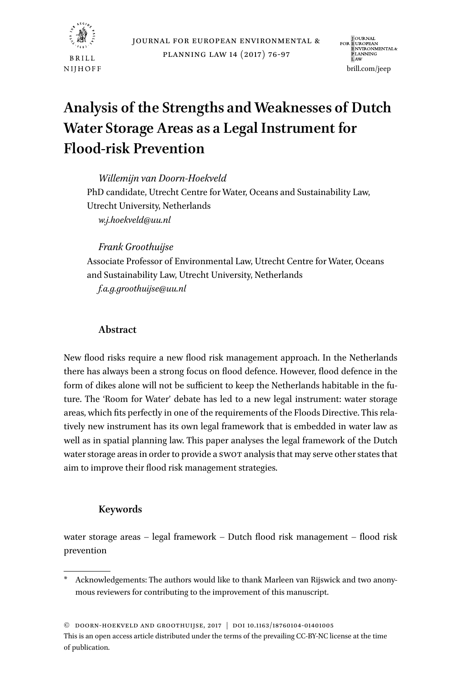

# **Analysis of the Strengths and Weaknesses of Dutch Water Storage Areas as a Legal Instrument for Flood-risk Prevention**

*Willemijn van Doorn-Hoekveld* PhD candidate, Utrecht Centre for Water, Oceans and Sustainability Law, Utrecht University, Netherlands *w.j.hoekveld@uu.nl*

*Frank Groothuijse*

Associate Professor of Environmental Law, Utrecht Centre for Water, Oceans and Sustainability Law, Utrecht University, Netherlands *f.a.g.groothuijse@uu.nl*

# **Abstract**

New flood risks require a new flood risk management approach. In the Netherlands there has always been a strong focus on flood defence. However, flood defence in the form of dikes alone will not be sufficient to keep the Netherlands habitable in the future. The 'Room for Water' debate has led to a new legal instrument: water storage areas, which fits perfectly in one of the requirements of the Floods Directive. This relatively new instrument has its own legal framework that is embedded in water law as well as in spatial planning law. This paper analyses the legal framework of the Dutch water storage areas in order to provide a swor analysis that may serve other states that aim to improve their flood risk management strategies.

# **Keywords**

water storage areas – legal framework – Dutch flood risk management – flood risk prevention

Acknowledgements: The authors would like to thank Marleen van Rijswick and two anonymous reviewers for contributing to the improvement of this manuscript.

<sup>©</sup> Doorn-Hoekveld and Groothuijse, 2017 | doi 10.1163/18760104-01401005 This is an open access article distributed under the terms of the prevailing CC-BY-NC license at the time of publication.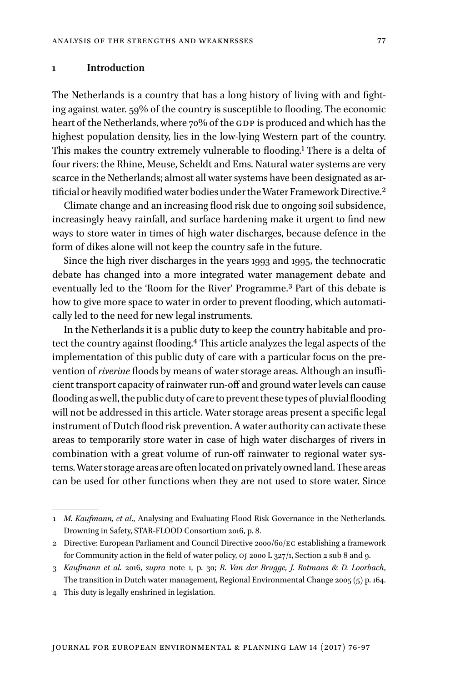#### **1 Introduction**

The Netherlands is a country that has a long history of living with and fighting against water. 59% of the country is susceptible to flooding. The economic heart of the Netherlands, where 70% of the GDP is produced and which has the highest population density, lies in the low-lying Western part of the country. This makes the country extremely vulnerable to flooding.<sup>1</sup> There is a delta of four rivers: the Rhine, Meuse, Scheldt and Ems. Natural water systems are very scarce in the Netherlands; almost all water systems have been designated as artificial or heavily modified water bodies under the Water Framework Directive.<sup>2</sup>

Climate change and an increasing flood risk due to ongoing soil subsidence, increasingly heavy rainfall, and surface hardening make it urgent to find new ways to store water in times of high water discharges, because defence in the form of dikes alone will not keep the country safe in the future.

Since the high river discharges in the years 1993 and 1995, the technocratic debate has changed into a more integrated water management debate and eventually led to the 'Room for the River' Programme.3 Part of this debate is how to give more space to water in order to prevent flooding, which automatically led to the need for new legal instruments.

In the Netherlands it is a public duty to keep the country habitable and protect the country against flooding.<sup>4</sup> This article analyzes the legal aspects of the implementation of this public duty of care with a particular focus on the prevention of *riverine* floods by means of water storage areas. Although an insufficient transport capacity of rainwater run-off and ground water levels can cause flooding as well, the public duty of care to prevent these types of pluvial flooding will not be addressed in this article. Water storage areas present a specific legal instrument of Dutch flood risk prevention. A water authority can activate these areas to temporarily store water in case of high water discharges of rivers in combination with a great volume of run-off rainwater to regional water systems. Water storage areas are often located on privately owned land. These areas can be used for other functions when they are not used to store water. Since

<sup>1</sup> *M. Kaufmann, et al*., Analysing and Evaluating Flood Risk Governance in the Netherlands. Drowning in Safety, STAR-FLOOD Consortium 2016, p. 8.

<sup>2</sup> Directive: European Parliament and Council Directive 2000/60/ec establishing a framework for Community action in the field of water policy, 0J 2000 L 327/1, Section 2 sub 8 and 9.

<sup>3</sup> *Kaufmann et al.* 2016, *supra* note 1, p. 30; *R. Van der Brugge, J. Rotmans & D. Loorbach*, The transition in Dutch water management, Regional Environmental Change 2005 (5) p. 164.

<sup>4</sup> This duty is legally enshrined in legislation.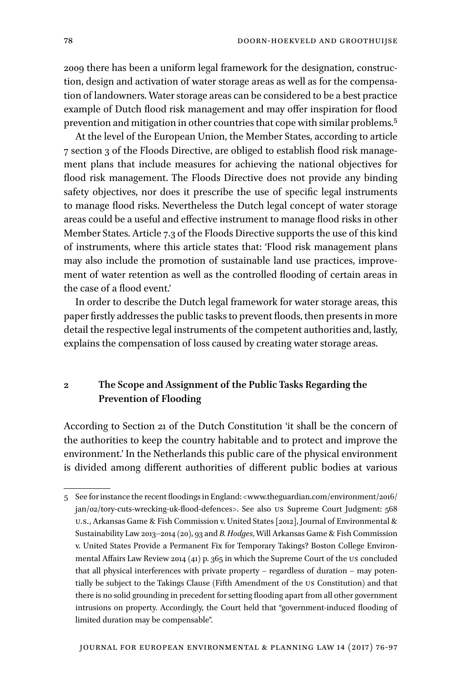2009 there has been a uniform legal framework for the designation, construction, design and activation of water storage areas as well as for the compensation of landowners. Water storage areas can be considered to be a best practice example of Dutch flood risk management and may offer inspiration for flood prevention and mitigation in other countries that cope with similar problems.5

At the level of the European Union, the Member States, according to article 7 section 3 of the Floods Directive, are obliged to establish flood risk management plans that include measures for achieving the national objectives for flood risk management. The Floods Directive does not provide any binding safety objectives, nor does it prescribe the use of specific legal instruments to manage flood risks. Nevertheless the Dutch legal concept of water storage areas could be a useful and effective instrument to manage flood risks in other Member States. Article 7.3 of the Floods Directive supports the use of this kind of instruments, where this article states that: 'Flood risk management plans may also include the promotion of sustainable land use practices, improvement of water retention as well as the controlled flooding of certain areas in the case of a flood event.'

In order to describe the Dutch legal framework for water storage areas, this paper firstly addresses the public tasks to prevent floods, then presents in more detail the respective legal instruments of the competent authorities and, lastly, explains the compensation of loss caused by creating water storage areas.

# **2 The Scope and Assignment of the Public Tasks Regarding the Prevention of Flooding**

According to Section 21 of the Dutch Constitution 'it shall be the concern of the authorities to keep the country habitable and to protect and improve the environment.' In the Netherlands this public care of the physical environment is divided among different authorities of different public bodies at various

<sup>5</sup> See for instance the recent floodings in England: <[www.theguardian.com/environment/2016/](http://www.theguardian.com/environment/2016/jan/02/tory-cuts-wrecking-uk-flood-defences) [jan/02/tory-cuts-wrecking-uk-flood-defences](http://www.theguardian.com/environment/2016/jan/02/tory-cuts-wrecking-uk-flood-defences)>. See also us Supreme Court Judgment: 568 u.s., Arkansas Game & Fish Commission v. United States [2012], Journal of Environmental & Sustainability Law 2013–2014 (20), 93 and *B. Hodges*, Will Arkansas Game & Fish Commission v. United States Provide a Permanent Fix for Temporary Takings? Boston College Environmental Affairs Law Review 2014 (41) p. 365 in which the Supreme Court of the US concluded that all physical interferences with private property – regardless of duration – may potentially be subject to the Takings Clause (Fifth Amendment of the us Constitution) and that there is no solid grounding in precedent for setting flooding apart from all other government intrusions on property. Accordingly, the Court held that "government-induced flooding of limited duration may be compensable".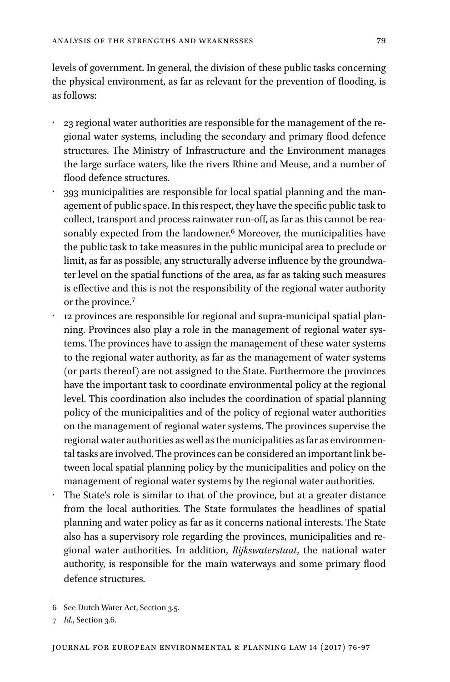levels of government. In general, the division of these public tasks concerning the physical environment, as far as relevant for the prevention of flooding, is as follows:

- 23 regional water authorities are responsible for the management of the regional water systems, including the secondary and primary flood defence structures. The Ministry of Infrastructure and the Environment manages the large surface waters, like the rivers Rhine and Meuse, and a number of flood defence structures.
- 393 municipalities are responsible for local spatial planning and the management of public space. In this respect, they have the specific public task to collect, transport and process rainwater run-off, as far as this cannot be reasonably expected from the landowner.<sup>6</sup> Moreover, the municipalities have the public task to take measures in the public municipal area to preclude or limit, as far as possible, any structurally adverse influence by the groundwater level on the spatial functions of the area, as far as taking such measures is effective and this is not the responsibility of the regional water authority or the province.7
- 12 provinces are responsible for regional and supra-municipal spatial planning. Provinces also play a role in the management of regional water systems. The provinces have to assign the management of these water systems to the regional water authority, as far as the management of water systems (or parts thereof) are not assigned to the State. Furthermore the provinces have the important task to coordinate environmental policy at the regional level. This coordination also includes the coordination of spatial planning policy of the municipalities and of the policy of regional water authorities on the management of regional water systems. The provinces supervise the regional water authorities as well as the municipalities as far as environmental tasks are involved. The provinces can be considered an important link between local spatial planning policy by the municipalities and policy on the management of regional water systems by the regional water authorities.
- The State's role is similar to that of the province, but at a greater distance from the local authorities. The State formulates the headlines of spatial planning and water policy as far as it concerns national interests. The State also has a supervisory role regarding the provinces, municipalities and regional water authorities. In addition, *Rijkswaterstaat*, the national water authority, is responsible for the main waterways and some primary flood defence structures.

<sup>6</sup> See Dutch Water Act, Section 3.5.

<sup>7</sup> *Id.*, Section 3.6.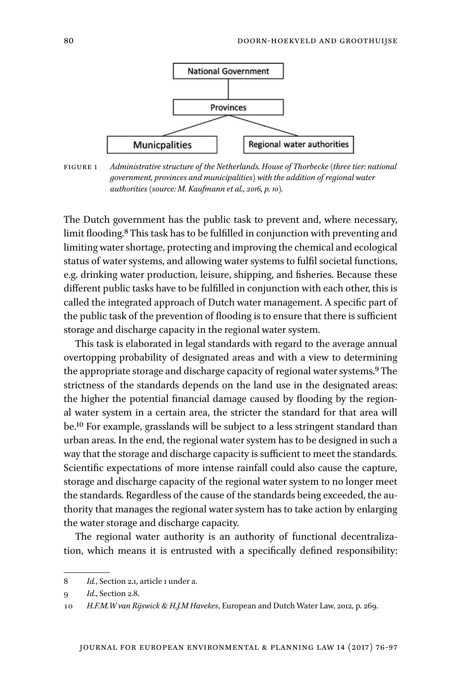



The Dutch government has the public task to prevent and, where necessary, limit flooding.8 This task has to be fulfilled in conjunction with preventing and limiting water shortage, protecting and improving the chemical and ecological status of water systems, and allowing water systems to fulfil societal functions, e.g. drinking water production, leisure, shipping, and fisheries. Because these different public tasks have to be fulfilled in conjunction with each other, this is called the integrated approach of Dutch water management. A specific part of the public task of the prevention of flooding is to ensure that there is sufficient storage and discharge capacity in the regional water system.

This task is elaborated in legal standards with regard to the average annual overtopping probability of designated areas and with a view to determining the appropriate storage and discharge capacity of regional water systems.<sup>9</sup> The strictness of the standards depends on the land use in the designated areas: the higher the potential financial damage caused by flooding by the regional water system in a certain area, the stricter the standard for that area will be.10 For example, grasslands will be subject to a less stringent standard than urban areas. In the end, the regional water system has to be designed in such a way that the storage and discharge capacity is sufficient to meet the standards. Scientific expectations of more intense rainfall could also cause the capture, storage and discharge capacity of the regional water system to no longer meet the standards. Regardless of the cause of the standards being exceeded, the authority that manages the regional water system has to take action by enlarging the water storage and discharge capacity.

The regional water authority is an authority of functional decentralization, which means it is entrusted with a specifically defined responsibility:

<sup>8</sup> *Id.*, Section 2.1, article 1 under a.

<sup>9</sup> *Id*., Section 2.8.

<sup>10</sup> *H.F.M.W van Rijswick & H.J.M Havekes*, European and Dutch Water Law, 2012, p. 269.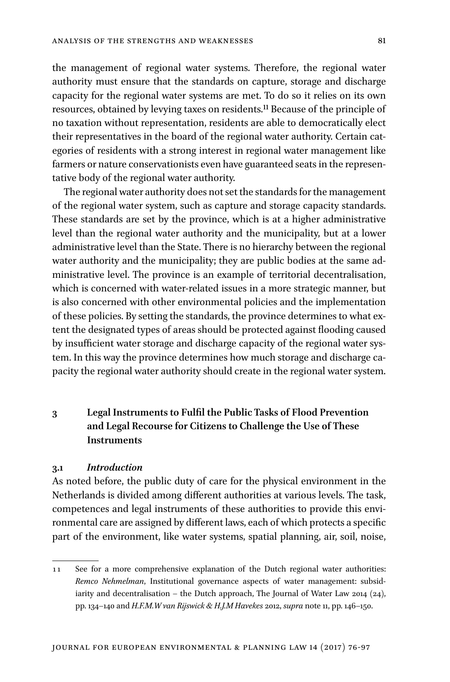the management of regional water systems. Therefore, the regional water authority must ensure that the standards on capture, storage and discharge capacity for the regional water systems are met. To do so it relies on its own resources, obtained by levying taxes on residents.<sup>11</sup> Because of the principle of no taxation without representation, residents are able to democratically elect their representatives in the board of the regional water authority. Certain categories of residents with a strong interest in regional water management like farmers or nature conservationists even have guaranteed seats in the representative body of the regional water authority.

The regional water authority does not set the standards for the management of the regional water system, such as capture and storage capacity standards. These standards are set by the province, which is at a higher administrative level than the regional water authority and the municipality, but at a lower administrative level than the State. There is no hierarchy between the regional water authority and the municipality; they are public bodies at the same administrative level. The province is an example of territorial decentralisation, which is concerned with water-related issues in a more strategic manner, but is also concerned with other environmental policies and the implementation of these policies. By setting the standards, the province determines to what extent the designated types of areas should be protected against flooding caused by insufficient water storage and discharge capacity of the regional water system. In this way the province determines how much storage and discharge capacity the regional water authority should create in the regional water system.

# **3 Legal Instruments to Fulfil the Public Tasks of Flood Prevention and Legal Recourse for Citizens to Challenge the Use of These Instruments**

#### **3.1** *Introduction*

As noted before, the public duty of care for the physical environment in the Netherlands is divided among different authorities at various levels. The task, competences and legal instruments of these authorities to provide this environmental care are assigned by different laws, each of which protects a specific part of the environment, like water systems, spatial planning, air, soil, noise,

<sup>11</sup> See for a more comprehensive explanation of the Dutch regional water authorities: *Remco Nehmelman*, Institutional governance aspects of water management: subsidiarity and decentralisation – the Dutch approach, The Journal of Water Law 2014  $(24)$ , pp. 134–140 and *H.F.M.W van Rijswick & H.J.M Havekes* 2012, *supra* note 11, pp. 146–150.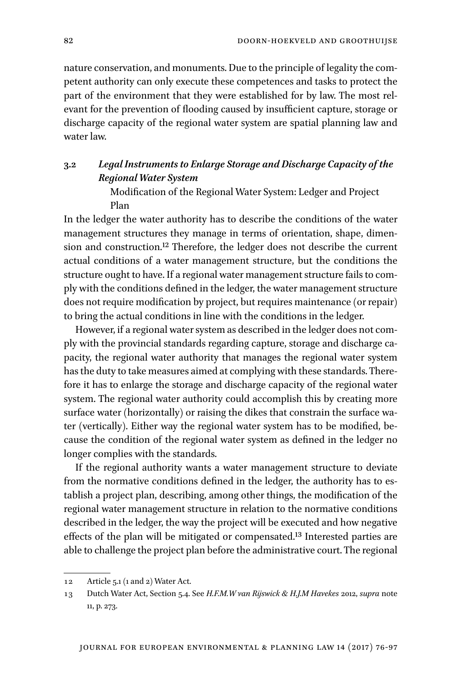nature conservation, and monuments. Due to the principle of legality the competent authority can only execute these competences and tasks to protect the part of the environment that they were established for by law. The most relevant for the prevention of flooding caused by insufficient capture, storage or discharge capacity of the regional water system are spatial planning law and water law.

# **3.2** *Legal Instruments to Enlarge Storage and Discharge Capacity of the Regional Water System*

Modification of the Regional Water System: Ledger and Project Plan

In the ledger the water authority has to describe the conditions of the water management structures they manage in terms of orientation, shape, dimension and construction.12 Therefore, the ledger does not describe the current actual conditions of a water management structure, but the conditions the structure ought to have. If a regional water management structure fails to comply with the conditions defined in the ledger, the water management structure does not require modification by project, but requires maintenance (or repair) to bring the actual conditions in line with the conditions in the ledger.

However, if a regional water system as described in the ledger does not comply with the provincial standards regarding capture, storage and discharge capacity, the regional water authority that manages the regional water system has the duty to take measures aimed at complying with these standards. Therefore it has to enlarge the storage and discharge capacity of the regional water system. The regional water authority could accomplish this by creating more surface water (horizontally) or raising the dikes that constrain the surface water (vertically). Either way the regional water system has to be modified, because the condition of the regional water system as defined in the ledger no longer complies with the standards.

If the regional authority wants a water management structure to deviate from the normative conditions defined in the ledger, the authority has to establish a project plan, describing, among other things, the modification of the regional water management structure in relation to the normative conditions described in the ledger, the way the project will be executed and how negative effects of the plan will be mitigated or compensated.<sup>13</sup> Interested parties are able to challenge the project plan before the administrative court. The regional

<sup>12</sup> Article 5.1 (1 and 2) Water Act.

<sup>13</sup> Dutch Water Act, Section 5.4. See *H.F.M.W van Rijswick & H.J.M Havekes* 2012, *supra* note 11, p. 273.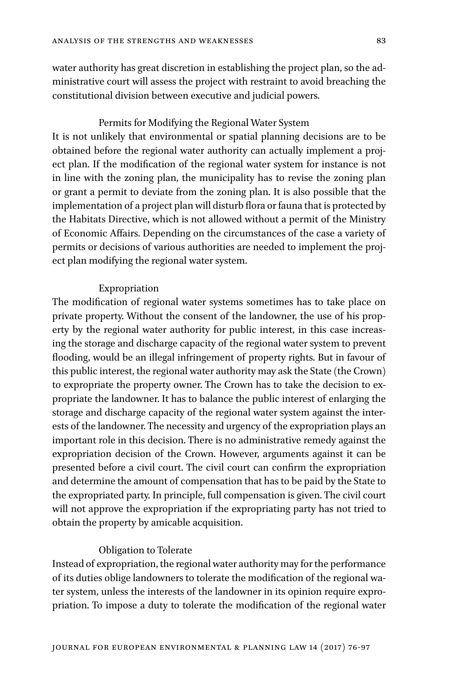water authority has great discretion in establishing the project plan, so the administrative court will assess the project with restraint to avoid breaching the constitutional division between executive and judicial powers.

#### Permits for Modifying the Regional Water System

It is not unlikely that environmental or spatial planning decisions are to be obtained before the regional water authority can actually implement a project plan. If the modification of the regional water system for instance is not in line with the zoning plan, the municipality has to revise the zoning plan or grant a permit to deviate from the zoning plan. It is also possible that the implementation of a project plan will disturb flora or fauna that is protected by the Habitats Directive, which is not allowed without a permit of the Ministry of Economic Affairs. Depending on the circumstances of the case a variety of permits or decisions of various authorities are needed to implement the project plan modifying the regional water system.

#### Expropriation

The modification of regional water systems sometimes has to take place on private property. Without the consent of the landowner, the use of his property by the regional water authority for public interest, in this case increasing the storage and discharge capacity of the regional water system to prevent flooding, would be an illegal infringement of property rights. But in favour of this public interest, the regional water authority may ask the State (the Crown) to expropriate the property owner. The Crown has to take the decision to expropriate the landowner. It has to balance the public interest of enlarging the storage and discharge capacity of the regional water system against the interests of the landowner. The necessity and urgency of the expropriation plays an important role in this decision. There is no administrative remedy against the expropriation decision of the Crown. However, arguments against it can be presented before a civil court. The civil court can confirm the expropriation and determine the amount of compensation that has to be paid by the State to the expropriated party. In principle, full compensation is given. The civil court will not approve the expropriation if the expropriating party has not tried to obtain the property by amicable acquisition.

#### Obligation to Tolerate

Instead of expropriation, the regional water authority may for the performance of its duties oblige landowners to tolerate the modification of the regional water system, unless the interests of the landowner in its opinion require expropriation. To impose a duty to tolerate the modification of the regional water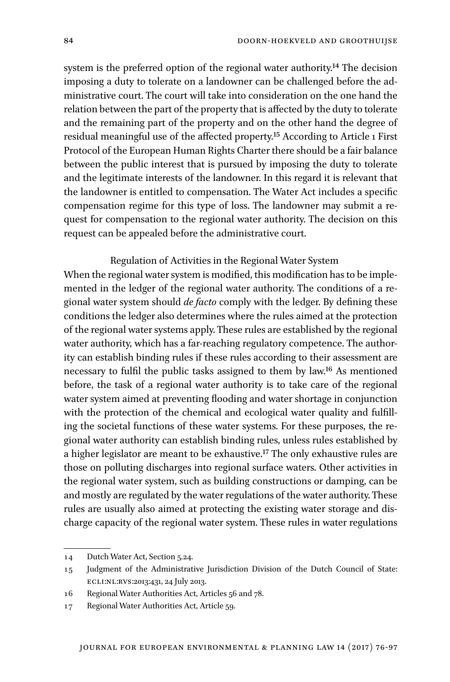system is the preferred option of the regional water authority.<sup>14</sup> The decision imposing a duty to tolerate on a landowner can be challenged before the administrative court. The court will take into consideration on the one hand the relation between the part of the property that is affected by the duty to tolerate and the remaining part of the property and on the other hand the degree of residual meaningful use of the affected property.15 According to Article 1 First Protocol of the European Human Rights Charter there should be a fair balance between the public interest that is pursued by imposing the duty to tolerate and the legitimate interests of the landowner. In this regard it is relevant that the landowner is entitled to compensation. The Water Act includes a specific compensation regime for this type of loss. The landowner may submit a request for compensation to the regional water authority. The decision on this request can be appealed before the administrative court.

Regulation of Activities in the Regional Water System

When the regional water system is modified, this modification has to be implemented in the ledger of the regional water authority. The conditions of a regional water system should *de facto* comply with the ledger. By defining these conditions the ledger also determines where the rules aimed at the protection of the regional water systems apply. These rules are established by the regional water authority, which has a far-reaching regulatory competence. The authority can establish binding rules if these rules according to their assessment are necessary to fulfil the public tasks assigned to them by law.16 As mentioned before, the task of a regional water authority is to take care of the regional water system aimed at preventing flooding and water shortage in conjunction with the protection of the chemical and ecological water quality and fulfilling the societal functions of these water systems. For these purposes, the regional water authority can establish binding rules, unless rules established by a higher legislator are meant to be exhaustive.17 The only exhaustive rules are those on polluting discharges into regional surface waters. Other activities in the regional water system, such as building constructions or damping, can be and mostly are regulated by the water regulations of the water authority. These rules are usually also aimed at protecting the existing water storage and discharge capacity of the regional water system. These rules in water regulations

<sup>14</sup> Dutch Water Act, Section 5.24.

<sup>15</sup> Judgment of the Administrative Jurisdiction Division of the Dutch Council of State: ecli:nl:rvs:2013:431, 24 July 2013.

<sup>16</sup> Regional Water Authorities Act, Articles 56 and 78.

<sup>17</sup> Regional Water Authorities Act, Article 59.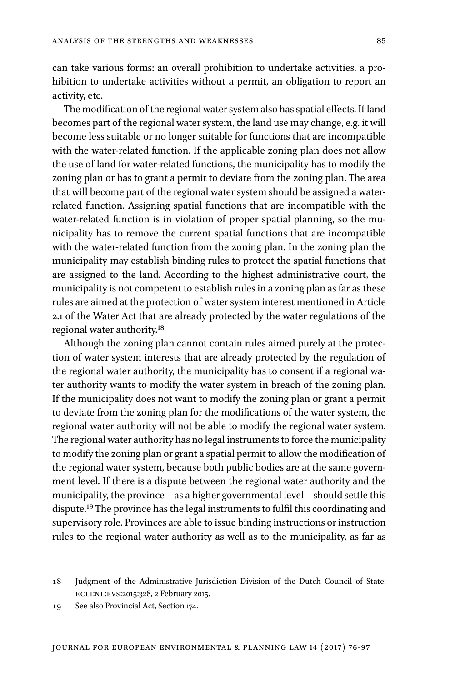can take various forms: an overall prohibition to undertake activities, a prohibition to undertake activities without a permit, an obligation to report an activity, etc.

The modification of the regional water system also has spatial effects. If land becomes part of the regional water system, the land use may change, e.g. it will become less suitable or no longer suitable for functions that are incompatible with the water-related function. If the applicable zoning plan does not allow the use of land for water-related functions, the municipality has to modify the zoning plan or has to grant a permit to deviate from the zoning plan. The area that will become part of the regional water system should be assigned a waterrelated function. Assigning spatial functions that are incompatible with the water-related function is in violation of proper spatial planning, so the municipality has to remove the current spatial functions that are incompatible with the water-related function from the zoning plan. In the zoning plan the municipality may establish binding rules to protect the spatial functions that are assigned to the land. According to the highest administrative court, the municipality is not competent to establish rules in a zoning plan as far as these rules are aimed at the protection of water system interest mentioned in Article 2.1 of the Water Act that are already protected by the water regulations of the regional water authority.18

Although the zoning plan cannot contain rules aimed purely at the protection of water system interests that are already protected by the regulation of the regional water authority, the municipality has to consent if a regional water authority wants to modify the water system in breach of the zoning plan. If the municipality does not want to modify the zoning plan or grant a permit to deviate from the zoning plan for the modifications of the water system, the regional water authority will not be able to modify the regional water system. The regional water authority has no legal instruments to force the municipality to modify the zoning plan or grant a spatial permit to allow the modification of the regional water system, because both public bodies are at the same government level. If there is a dispute between the regional water authority and the municipality, the province – as a higher governmental level – should settle this dispute.19 The province has the legal instruments to fulfil this coordinating and supervisory role. Provinces are able to issue binding instructions or instruction rules to the regional water authority as well as to the municipality, as far as

<sup>18</sup> Judgment of the Administrative Jurisdiction Division of the Dutch Council of State: ecli:nl:rvs:2015:328, 2 February 2015.

<sup>19</sup> See also Provincial Act, Section 174.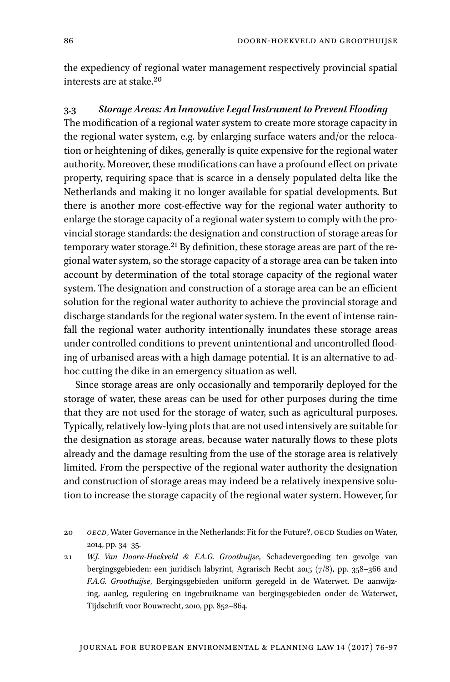the expediency of regional water management respectively provincial spatial interests are at stake.20

# **3.3** *Storage Areas: An Innovative Legal Instrument to Prevent Flooding*

The modification of a regional water system to create more storage capacity in the regional water system, e.g. by enlarging surface waters and/or the relocation or heightening of dikes, generally is quite expensive for the regional water authority. Moreover, these modifications can have a profound effect on private property, requiring space that is scarce in a densely populated delta like the Netherlands and making it no longer available for spatial developments. But there is another more cost-effective way for the regional water authority to enlarge the storage capacity of a regional water system to comply with the provincial storage standards: the designation and construction of storage areas for temporary water storage.21 By definition, these storage areas are part of the regional water system, so the storage capacity of a storage area can be taken into account by determination of the total storage capacity of the regional water system. The designation and construction of a storage area can be an efficient solution for the regional water authority to achieve the provincial storage and discharge standards for the regional water system. In the event of intense rainfall the regional water authority intentionally inundates these storage areas under controlled conditions to prevent unintentional and uncontrolled flooding of urbanised areas with a high damage potential. It is an alternative to adhoc cutting the dike in an emergency situation as well.

Since storage areas are only occasionally and temporarily deployed for the storage of water, these areas can be used for other purposes during the time that they are not used for the storage of water, such as agricultural purposes. Typically, relatively low-lying plots that are not used intensively are suitable for the designation as storage areas, because water naturally flows to these plots already and the damage resulting from the use of the storage area is relatively limited. From the perspective of the regional water authority the designation and construction of storage areas may indeed be a relatively inexpensive solution to increase the storage capacity of the regional water system. However, for

<sup>20</sup> *oecd*, Water Governance in the Netherlands: Fit for the Future?, oecd Studies on Water, 2014, pp. 34–35.

<sup>21</sup> *W.J. Van Doorn-Hoekveld & F.A.G. Groothuijse*, Schadevergoeding ten gevolge van bergingsgebieden: een juridisch labyrint, Agrarisch Recht 2015 (7/8), pp. 358–366 and *F.A.G. Groothuijse*, Bergingsgebieden uniform geregeld in de Waterwet. De aanwijzing, aanleg, regulering en ingebruikname van bergingsgebieden onder de Waterwet, Tijdschrift voor Bouwrecht, 2010, pp. 852–864.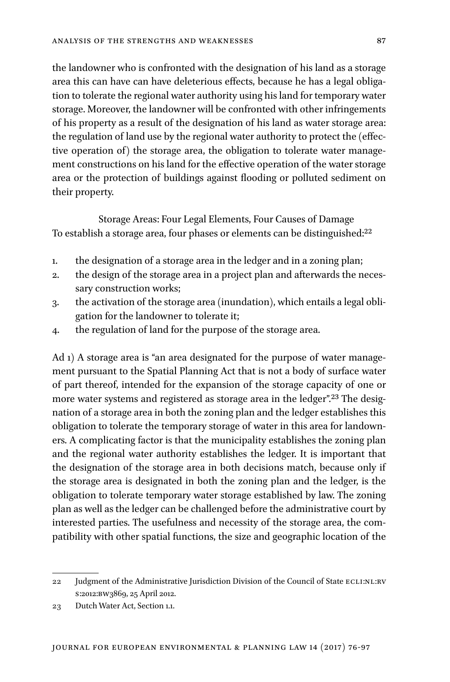the landowner who is confronted with the designation of his land as a storage area this can have can have deleterious effects, because he has a legal obligation to tolerate the regional water authority using his land for temporary water storage. Moreover, the landowner will be confronted with other infringements of his property as a result of the designation of his land as water storage area: the regulation of land use by the regional water authority to protect the (effective operation of) the storage area, the obligation to tolerate water management constructions on his land for the effective operation of the water storage area or the protection of buildings against flooding or polluted sediment on their property.

Storage Areas: Four Legal Elements, Four Causes of Damage To establish a storage area, four phases or elements can be distinguished:22

- 1. the designation of a storage area in the ledger and in a zoning plan;
- 2. the design of the storage area in a project plan and afterwards the necessary construction works;
- 3. the activation of the storage area (inundation), which entails a legal obligation for the landowner to tolerate it;
- 4. the regulation of land for the purpose of the storage area.

Ad 1) A storage area is "an area designated for the purpose of water management pursuant to the Spatial Planning Act that is not a body of surface water of part thereof, intended for the expansion of the storage capacity of one or more water systems and registered as storage area in the ledger".<sup>23</sup> The designation of a storage area in both the zoning plan and the ledger establishes this obligation to tolerate the temporary storage of water in this area for landowners. A complicating factor is that the municipality establishes the zoning plan and the regional water authority establishes the ledger. It is important that the designation of the storage area in both decisions match, because only if the storage area is designated in both the zoning plan and the ledger, is the obligation to tolerate temporary water storage established by law. The zoning plan as well as the ledger can be challenged before the administrative court by interested parties. The usefulness and necessity of the storage area, the compatibility with other spatial functions, the size and geographic location of the

<sup>22</sup> Judgment of the Administrative Jurisdiction Division of the Council of State ECLI:NL:RV s:2012:bw3869, 25 April 2012.

<sup>23</sup> Dutch Water Act, Section 1.1.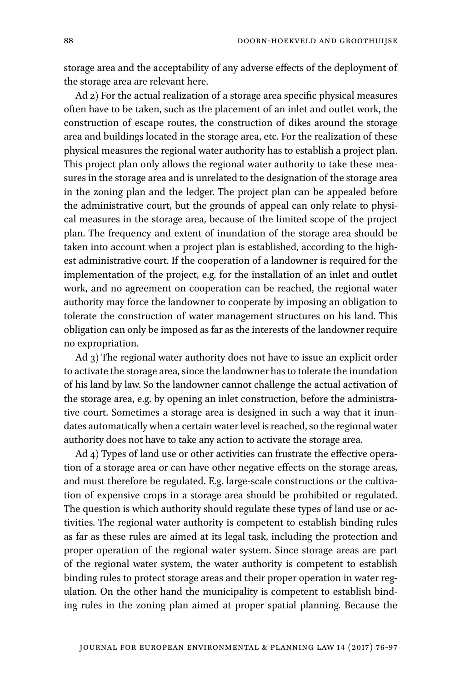storage area and the acceptability of any adverse effects of the deployment of the storage area are relevant here.

Ad 2) For the actual realization of a storage area specific physical measures often have to be taken, such as the placement of an inlet and outlet work, the construction of escape routes, the construction of dikes around the storage area and buildings located in the storage area, etc. For the realization of these physical measures the regional water authority has to establish a project plan. This project plan only allows the regional water authority to take these measures in the storage area and is unrelated to the designation of the storage area in the zoning plan and the ledger. The project plan can be appealed before the administrative court, but the grounds of appeal can only relate to physical measures in the storage area, because of the limited scope of the project plan. The frequency and extent of inundation of the storage area should be taken into account when a project plan is established, according to the highest administrative court. If the cooperation of a landowner is required for the implementation of the project, e.g. for the installation of an inlet and outlet work, and no agreement on cooperation can be reached, the regional water authority may force the landowner to cooperate by imposing an obligation to tolerate the construction of water management structures on his land. This obligation can only be imposed as far as the interests of the landowner require no expropriation.

Ad 3) The regional water authority does not have to issue an explicit order to activate the storage area, since the landowner has to tolerate the inundation of his land by law. So the landowner cannot challenge the actual activation of the storage area, e.g. by opening an inlet construction, before the administrative court. Sometimes a storage area is designed in such a way that it inundates automatically when a certain water level is reached, so the regional water authority does not have to take any action to activate the storage area.

Ad 4) Types of land use or other activities can frustrate the effective operation of a storage area or can have other negative effects on the storage areas, and must therefore be regulated. E.g. large-scale constructions or the cultivation of expensive crops in a storage area should be prohibited or regulated. The question is which authority should regulate these types of land use or activities. The regional water authority is competent to establish binding rules as far as these rules are aimed at its legal task, including the protection and proper operation of the regional water system. Since storage areas are part of the regional water system, the water authority is competent to establish binding rules to protect storage areas and their proper operation in water regulation. On the other hand the municipality is competent to establish binding rules in the zoning plan aimed at proper spatial planning. Because the

journal for european environmental & planning law 14 (2017) 76-97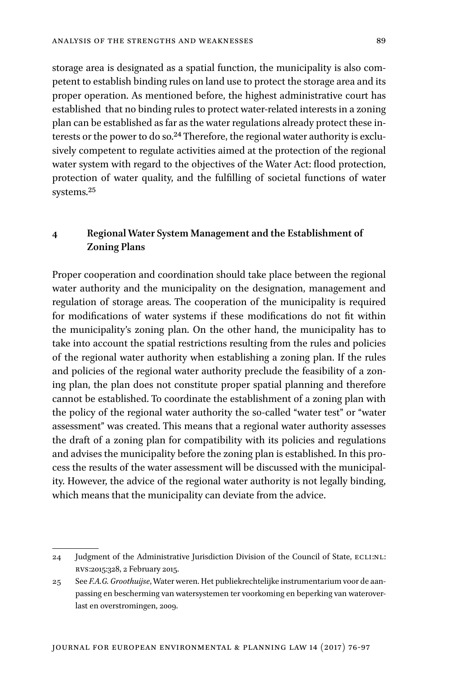storage area is designated as a spatial function, the municipality is also competent to establish binding rules on land use to protect the storage area and its proper operation. As mentioned before, the highest administrative court has established that no binding rules to protect water-related interests in a zoning plan can be established as far as the water regulations already protect these interests or the power to do so.<sup>24</sup> Therefore, the regional water authority is exclusively competent to regulate activities aimed at the protection of the regional water system with regard to the objectives of the Water Act: flood protection, protection of water quality, and the fulfilling of societal functions of water systems.25

# **4 Regional Water System Management and the Establishment of Zoning Plans**

Proper cooperation and coordination should take place between the regional water authority and the municipality on the designation, management and regulation of storage areas. The cooperation of the municipality is required for modifications of water systems if these modifications do not fit within the municipality's zoning plan. On the other hand, the municipality has to take into account the spatial restrictions resulting from the rules and policies of the regional water authority when establishing a zoning plan. If the rules and policies of the regional water authority preclude the feasibility of a zoning plan, the plan does not constitute proper spatial planning and therefore cannot be established. To coordinate the establishment of a zoning plan with the policy of the regional water authority the so-called "water test" or "water assessment" was created. This means that a regional water authority assesses the draft of a zoning plan for compatibility with its policies and regulations and advises the municipality before the zoning plan is established. In this process the results of the water assessment will be discussed with the municipality. However, the advice of the regional water authority is not legally binding, which means that the municipality can deviate from the advice.

<sup>24</sup> Judgment of the Administrative Jurisdiction Division of the Council of State, ECLI:NL: rvs:2015:328, 2 February 2015.

<sup>25</sup> See *F.A.G. Groothuijse*, Water weren. Het publiekrechtelijke instrumentarium voor de aanpassing en bescherming van watersystemen ter voorkoming en beperking van wateroverlast en overstromingen, 2009.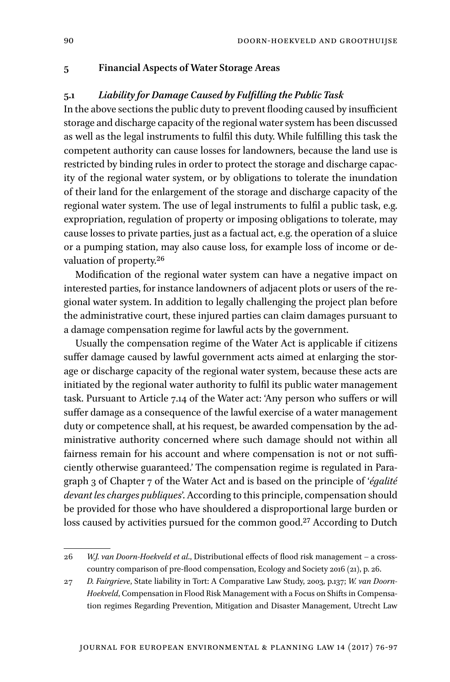#### **5 Financial Aspects of Water Storage Areas**

#### **5.1** *Liability for Damage Caused by Fulfilling the Public Task*

In the above sections the public duty to prevent flooding caused by insufficient storage and discharge capacity of the regional water system has been discussed as well as the legal instruments to fulfil this duty. While fulfilling this task the competent authority can cause losses for landowners, because the land use is restricted by binding rules in order to protect the storage and discharge capacity of the regional water system, or by obligations to tolerate the inundation of their land for the enlargement of the storage and discharge capacity of the regional water system. The use of legal instruments to fulfil a public task, e.g. expropriation, regulation of property or imposing obligations to tolerate, may cause losses to private parties, just as a factual act, e.g. the operation of a sluice or a pumping station, may also cause loss, for example loss of income or devaluation of property.26

Modification of the regional water system can have a negative impact on interested parties, for instance landowners of adjacent plots or users of the regional water system. In addition to legally challenging the project plan before the administrative court, these injured parties can claim damages pursuant to a damage compensation regime for lawful acts by the government.

Usually the compensation regime of the Water Act is applicable if citizens suffer damage caused by lawful government acts aimed at enlarging the storage or discharge capacity of the regional water system, because these acts are initiated by the regional water authority to fulfil its public water management task. Pursuant to Article 7.14 of the Water act: 'Any person who suffers or will suffer damage as a consequence of the lawful exercise of a water management duty or competence shall, at his request, be awarded compensation by the administrative authority concerned where such damage should not within all fairness remain for his account and where compensation is not or not sufficiently otherwise guaranteed.' The compensation regime is regulated in Paragraph 3 of Chapter 7 of the Water Act and is based on the principle of '*égalité devant les charges publiques*'. According to this principle, compensation should be provided for those who have shouldered a disproportional large burden or loss caused by activities pursued for the common good.<sup>27</sup> According to Dutch

<sup>26</sup> *W.J. van Doorn-Hoekveld et al*., Distributional effects of flood risk management – a crosscountry comparison of pre-flood compensation, Ecology and Society 2016 (21), p. 26.

<sup>27</sup> *D. Fairgrieve*, State liability in Tort: A Comparative Law Study, 2003, p.137; *W. van Doorn-Hoekveld*, Compensation in Flood Risk Management with a Focus on Shifts in Compensation regimes Regarding Prevention, Mitigation and Disaster Management, Utrecht Law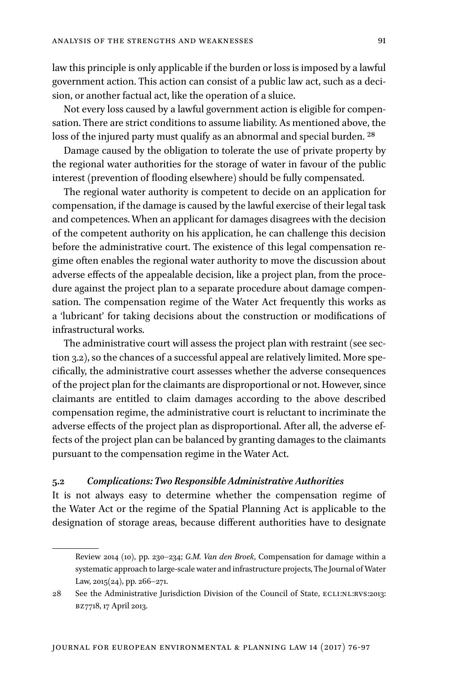law this principle is only applicable if the burden or loss is imposed by a lawful government action. This action can consist of a public law act, such as a decision, or another factual act, like the operation of a sluice.

Not every loss caused by a lawful government action is eligible for compensation. There are strict conditions to assume liability. As mentioned above, the loss of the injured party must qualify as an abnormal and special burden.<sup>28</sup>

Damage caused by the obligation to tolerate the use of private property by the regional water authorities for the storage of water in favour of the public interest (prevention of flooding elsewhere) should be fully compensated.

The regional water authority is competent to decide on an application for compensation, if the damage is caused by the lawful exercise of their legal task and competences. When an applicant for damages disagrees with the decision of the competent authority on his application, he can challenge this decision before the administrative court. The existence of this legal compensation regime often enables the regional water authority to move the discussion about adverse effects of the appealable decision, like a project plan, from the procedure against the project plan to a separate procedure about damage compensation. The compensation regime of the Water Act frequently this works as a 'lubricant' for taking decisions about the construction or modifications of infrastructural works.

The administrative court will assess the project plan with restraint (see section 3.2), so the chances of a successful appeal are relatively limited. More specifically, the administrative court assesses whether the adverse consequences of the project plan for the claimants are disproportional or not. However, since claimants are entitled to claim damages according to the above described compensation regime, the administrative court is reluctant to incriminate the adverse effects of the project plan as disproportional. After all, the adverse effects of the project plan can be balanced by granting damages to the claimants pursuant to the compensation regime in the Water Act.

#### **5.2** *Complications: Two Responsible Administrative Authorities*

It is not always easy to determine whether the compensation regime of the Water Act or the regime of the Spatial Planning Act is applicable to the designation of storage areas, because different authorities have to designate

Review 2014 (10), pp. 230–234; *G.M. Van den Broek*, Compensation for damage within a systematic approach to large-scale water and infrastructure projects, The Journal of Water Law, 2015(24), pp. 266–271.

<sup>28</sup> See the Administrative Jurisdiction Division of the Council of State, ECLI:NL:RVS:2013: bz7718, 17 April 2013.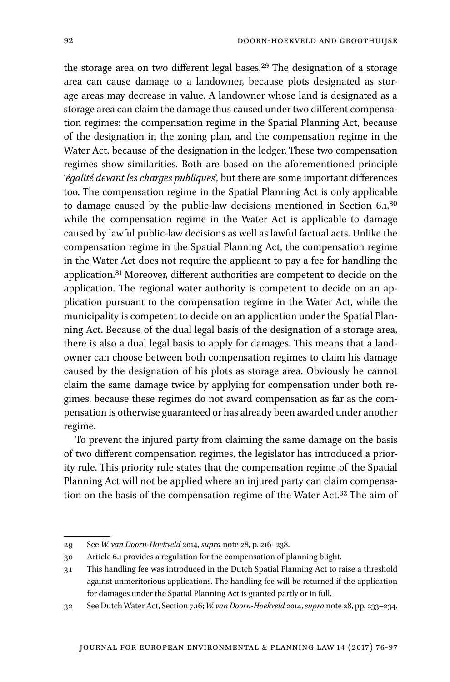the storage area on two different legal bases.<sup>29</sup> The designation of a storage area can cause damage to a landowner, because plots designated as storage areas may decrease in value. A landowner whose land is designated as a storage area can claim the damage thus caused under two different compensation regimes: the compensation regime in the Spatial Planning Act, because of the designation in the zoning plan, and the compensation regime in the Water Act, because of the designation in the ledger. These two compensation regimes show similarities. Both are based on the aforementioned principle '*égalité devant les charges publiques*', but there are some important differences too. The compensation regime in the Spatial Planning Act is only applicable to damage caused by the public-law decisions mentioned in Section 6.1,30 while the compensation regime in the Water Act is applicable to damage caused by lawful public-law decisions as well as lawful factual acts. Unlike the compensation regime in the Spatial Planning Act, the compensation regime in the Water Act does not require the applicant to pay a fee for handling the application.31 Moreover, different authorities are competent to decide on the application. The regional water authority is competent to decide on an application pursuant to the compensation regime in the Water Act, while the municipality is competent to decide on an application under the Spatial Planning Act. Because of the dual legal basis of the designation of a storage area, there is also a dual legal basis to apply for damages. This means that a landowner can choose between both compensation regimes to claim his damage caused by the designation of his plots as storage area. Obviously he cannot claim the same damage twice by applying for compensation under both regimes, because these regimes do not award compensation as far as the compensation is otherwise guaranteed or has already been awarded under another regime.

To prevent the injured party from claiming the same damage on the basis of two different compensation regimes, the legislator has introduced a priority rule. This priority rule states that the compensation regime of the Spatial Planning Act will not be applied where an injured party can claim compensation on the basis of the compensation regime of the Water Act.32 The aim of

<sup>29</sup> See *W. van Doorn-Hoekveld* 2014, *supra* note 28, p. 216–238.

<sup>30</sup> Article 6.1 provides a regulation for the compensation of planning blight.

<sup>31</sup> This handling fee was introduced in the Dutch Spatial Planning Act to raise a threshold against unmeritorious applications. The handling fee will be returned if the application for damages under the Spatial Planning Act is granted partly or in full.

<sup>32</sup> See Dutch Water Act, Section 7.16; *W. van Doorn-Hoekveld* 2014, *supra* note 28, pp. 233–234.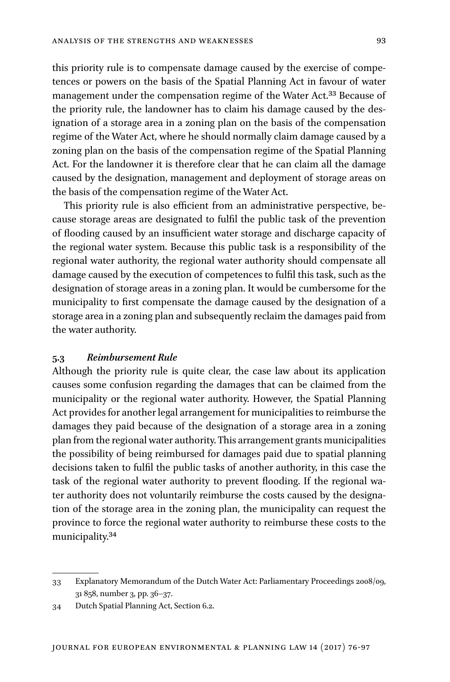this priority rule is to compensate damage caused by the exercise of competences or powers on the basis of the Spatial Planning Act in favour of water management under the compensation regime of the Water Act.<sup>33</sup> Because of the priority rule, the landowner has to claim his damage caused by the designation of a storage area in a zoning plan on the basis of the compensation regime of the Water Act, where he should normally claim damage caused by a zoning plan on the basis of the compensation regime of the Spatial Planning Act. For the landowner it is therefore clear that he can claim all the damage caused by the designation, management and deployment of storage areas on the basis of the compensation regime of the Water Act.

This priority rule is also efficient from an administrative perspective, because storage areas are designated to fulfil the public task of the prevention of flooding caused by an insufficient water storage and discharge capacity of the regional water system. Because this public task is a responsibility of the regional water authority, the regional water authority should compensate all damage caused by the execution of competences to fulfil this task, such as the designation of storage areas in a zoning plan. It would be cumbersome for the municipality to first compensate the damage caused by the designation of a storage area in a zoning plan and subsequently reclaim the damages paid from the water authority.

#### **5.3** *Reimbursement Rule*

Although the priority rule is quite clear, the case law about its application causes some confusion regarding the damages that can be claimed from the municipality or the regional water authority. However, the Spatial Planning Act provides for another legal arrangement for municipalities to reimburse the damages they paid because of the designation of a storage area in a zoning plan from the regional water authority. This arrangement grants municipalities the possibility of being reimbursed for damages paid due to spatial planning decisions taken to fulfil the public tasks of another authority, in this case the task of the regional water authority to prevent flooding. If the regional water authority does not voluntarily reimburse the costs caused by the designation of the storage area in the zoning plan, the municipality can request the province to force the regional water authority to reimburse these costs to the municipality.34

<sup>33</sup> Explanatory Memorandum of the Dutch Water Act: Parliamentary Proceedings 2008/09, 31 858, number 3, pp. 36–37.

<sup>34</sup> Dutch Spatial Planning Act, Section 6.2.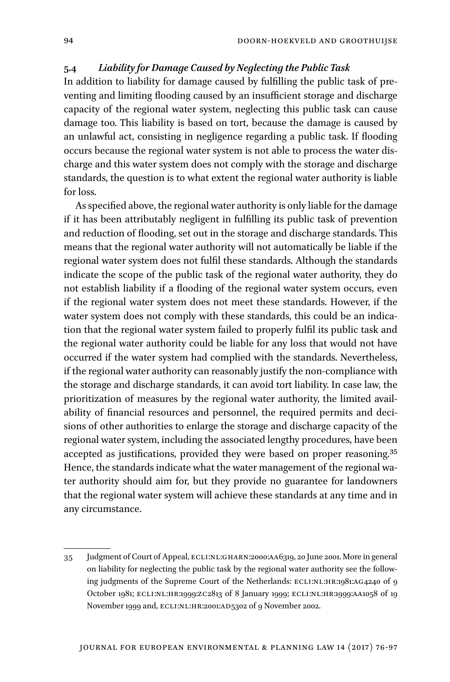### **5.4** *Liability for Damage Caused by Neglecting the Public Task*

In addition to liability for damage caused by fulfilling the public task of preventing and limiting flooding caused by an insufficient storage and discharge capacity of the regional water system, neglecting this public task can cause damage too. This liability is based on tort, because the damage is caused by an unlawful act, consisting in negligence regarding a public task. If flooding occurs because the regional water system is not able to process the water discharge and this water system does not comply with the storage and discharge standards, the question is to what extent the regional water authority is liable for loss.

As specified above, the regional water authority is only liable for the damage if it has been attributably negligent in fulfilling its public task of prevention and reduction of flooding, set out in the storage and discharge standards. This means that the regional water authority will not automatically be liable if the regional water system does not fulfil these standards. Although the standards indicate the scope of the public task of the regional water authority, they do not establish liability if a flooding of the regional water system occurs, even if the regional water system does not meet these standards. However, if the water system does not comply with these standards, this could be an indication that the regional water system failed to properly fulfil its public task and the regional water authority could be liable for any loss that would not have occurred if the water system had complied with the standards. Nevertheless, if the regional water authority can reasonably justify the non-compliance with the storage and discharge standards, it can avoid tort liability. In case law, the prioritization of measures by the regional water authority, the limited availability of financial resources and personnel, the required permits and decisions of other authorities to enlarge the storage and discharge capacity of the regional water system, including the associated lengthy procedures, have been accepted as justifications, provided they were based on proper reasoning.<sup>35</sup> Hence, the standards indicate what the water management of the regional water authority should aim for, but they provide no guarantee for landowners that the regional water system will achieve these standards at any time and in any circumstance.

<sup>35</sup> Judgment of Court of Appeal, ECLI:NL:GHARN:2000:AA6319, 20 June 2001. More in general on liability for neglecting the public task by the regional water authority see the following judgments of the Supreme Court of the Netherlands: ECLI:NL:HR:1981:AG4240 of 9 October 1981; ecli:nl:hr:1999:zc2813 of 8 January 1999; ecli:nl:hr:1999:aa1058 of 19 November 1999 and, ECLI:NL:HR:2001:AD5302 of 9 November 2002.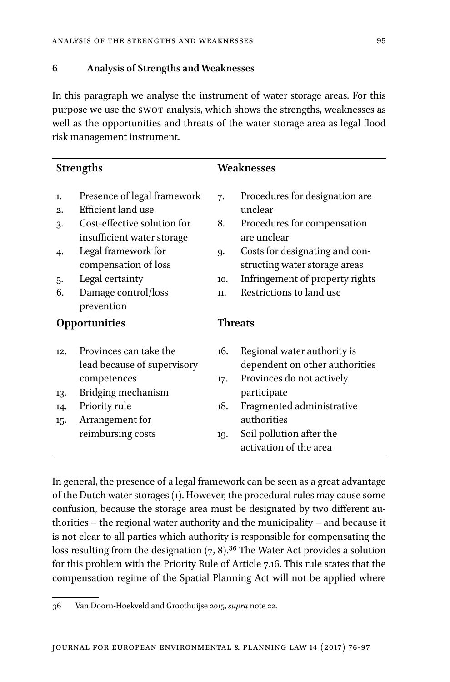#### **6 Analysis of Strengths and Weaknesses**

In this paragraph we analyse the instrument of water storage areas. For this purpose we use the swor analysis, which shows the strengths, weaknesses as well as the opportunities and threats of the water storage area as legal flood risk management instrument.

| <b>Strengths</b> |                                                           | Weaknesses     |                                                                 |
|------------------|-----------------------------------------------------------|----------------|-----------------------------------------------------------------|
| 1.<br>2.         | Presence of legal framework<br>Efficient land use         | 7.             | Procedures for designation are<br>unclear                       |
| 3.               | Cost-effective solution for<br>insufficient water storage | 8.             | Procedures for compensation<br>are unclear                      |
| 4.               | Legal framework for<br>compensation of loss               | 9.             | Costs for designating and con-<br>structing water storage areas |
| 5.               | Legal certainty                                           | 10.            | Infringement of property rights                                 |
| 6.               | Damage control/loss<br>prevention                         | 11.            | Restrictions to land use                                        |
| Opportunities    |                                                           | <b>Threats</b> |                                                                 |
| 12.              | Provinces can take the                                    | 16.            | Regional water authority is                                     |
|                  | lead because of supervisory                               |                | dependent on other authorities                                  |
|                  | competences                                               | 17.            | Provinces do not actively                                       |
| 13.              | Bridging mechanism                                        |                | participate                                                     |
| 14.              | Priority rule                                             | 18.            | Fragmented administrative                                       |
| 15.              | Arrangement for                                           |                | authorities                                                     |
|                  | reimbursing costs                                         | 19.            | Soil pollution after the                                        |
|                  |                                                           |                | activation of the area                                          |

In general, the presence of a legal framework can be seen as a great advantage of the Dutch water storages (1). However, the procedural rules may cause some confusion, because the storage area must be designated by two different authorities – the regional water authority and the municipality – and because it is not clear to all parties which authority is responsible for compensating the loss resulting from the designation  $(7, 8)$ .<sup>36</sup> The Water Act provides a solution for this problem with the Priority Rule of Article 7.16. This rule states that the compensation regime of the Spatial Planning Act will not be applied where

<sup>36</sup> Van Doorn-Hoekveld and Groothuijse 2015, *supra* note 22.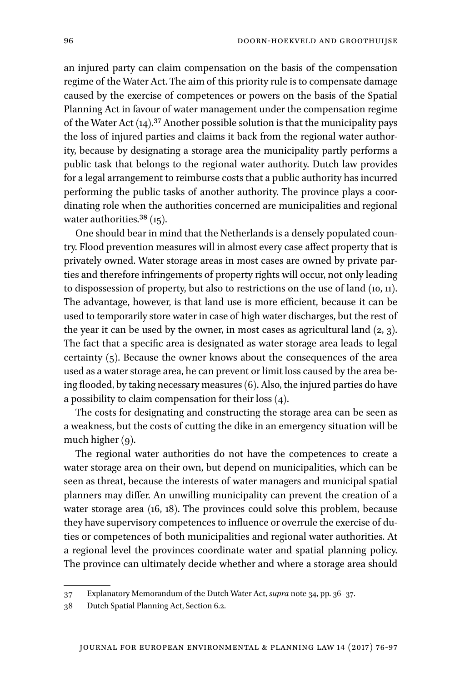an injured party can claim compensation on the basis of the compensation regime of the Water Act. The aim of this priority rule is to compensate damage caused by the exercise of competences or powers on the basis of the Spatial Planning Act in favour of water management under the compensation regime of the Water Act  $(14)$ .<sup>37</sup> Another possible solution is that the municipality pays the loss of injured parties and claims it back from the regional water authority, because by designating a storage area the municipality partly performs a public task that belongs to the regional water authority. Dutch law provides for a legal arrangement to reimburse costs that a public authority has incurred performing the public tasks of another authority. The province plays a coordinating role when the authorities concerned are municipalities and regional water authorities.<sup>38</sup> (15).

One should bear in mind that the Netherlands is a densely populated country. Flood prevention measures will in almost every case affect property that is privately owned. Water storage areas in most cases are owned by private parties and therefore infringements of property rights will occur, not only leading to dispossession of property, but also to restrictions on the use of land (10, 11). The advantage, however, is that land use is more efficient, because it can be used to temporarily store water in case of high water discharges, but the rest of the year it can be used by the owner, in most cases as agricultural land  $(2, 3)$ . The fact that a specific area is designated as water storage area leads to legal certainty (5). Because the owner knows about the consequences of the area used as a water storage area, he can prevent or limit loss caused by the area being flooded, by taking necessary measures (6). Also, the injured parties do have a possibility to claim compensation for their loss (4).

The costs for designating and constructing the storage area can be seen as a weakness, but the costs of cutting the dike in an emergency situation will be much higher (9).

The regional water authorities do not have the competences to create a water storage area on their own, but depend on municipalities, which can be seen as threat, because the interests of water managers and municipal spatial planners may differ. An unwilling municipality can prevent the creation of a water storage area (16, 18). The provinces could solve this problem, because they have supervisory competences to influence or overrule the exercise of duties or competences of both municipalities and regional water authorities. At a regional level the provinces coordinate water and spatial planning policy. The province can ultimately decide whether and where a storage area should

<sup>37</sup> Explanatory Memorandum of the Dutch Water Act, *supra* note 34, pp. 36–37.

<sup>38</sup> Dutch Spatial Planning Act, Section 6.2.